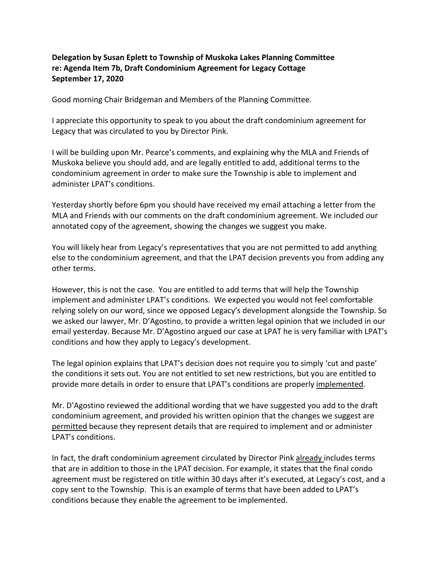## **Delegation by Susan Eplett to Township of Muskoka Lakes Planning Committee re: Agenda Item 7b, Draft Condominium Agreement for Legacy Cottage September 17, 2020**

Good morning Chair Bridgeman and Members of the Planning Committee.

I appreciate this opportunity to speak to you about the draft condominium agreement for Legacy that was circulated to you by Director Pink.

I will be building upon Mr. Pearce's comments, and explaining why the MLA and Friends of Muskoka believe you should add, and are legally entitled to add, additional terms to the condominium agreement in order to make sure the Township is able to implement and administer LPAT's conditions.

Yesterday shortly before 6pm you should have received my email attaching a letter from the MLA and Friends with our comments on the draft condominium agreement. We included our annotated copy of the agreement, showing the changes we suggest you make.

You will likely hear from Legacy's representatives that you are not permitted to add anything else to the condominium agreement, and that the LPAT decision prevents you from adding any other terms.

However, this is not the case. You are entitled to add terms that will help the Township implement and administer LPAT's conditions. We expected you would not feel comfortable relying solely on our word, since we opposed Legacy's development alongside the Township. So we asked our lawyer, Mr. D'Agostino, to provide a written legal opinion that we included in our email yesterday. Because Mr. D'Agostino argued our case at LPAT he is very familiar with LPAT's conditions and how they apply to Legacy's development.

The legal opinion explains that LPAT's decision does not require you to simply 'cut and paste' the conditions it sets out. You are not entitled to set new restrictions, but you are entitled to provide more details in order to ensure that LPAT's conditions are properly implemented.

Mr. D'Agostino reviewed the additional wording that we have suggested you add to the draft condominium agreement, and provided his written opinion that the changes we suggest are permitted because they represent details that are required to implement and or administer LPAT's conditions.

In fact, the draft condominium agreement circulated by Director Pink already includes terms that are in addition to those in the LPAT decision. For example, it states that the final condo agreement must be registered on title within 30 days after it's executed, at Legacy's cost, and a copy sent to the Township. This is an example of terms that have been added to LPAT's conditions because they enable the agreement to be implemented.